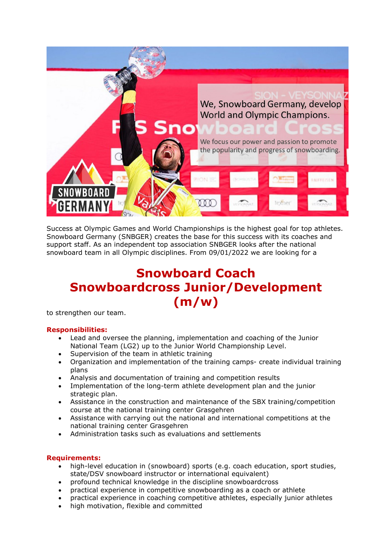

Success at Olympic Games and World Championships is the highest goal for top athletes. Snowboard Germany (SNBGER) creates the base for this success with its coaches and support staff. As an independent top association SNBGER looks after the national snowboard team in all Olympic disciplines. From 09/01/2022 we are looking for a

## **Snowboard Coach Snowboardcross Junior/Development (m/w)**

to strengthen our team.

## **Responsibilities:**

- Lead and oversee the planning, implementation and coaching of the Junior National Team (LG2) up to the Junior World Championship Level.
- Supervision of the team in athletic training
- Organization and implementation of the training camps- create individual training plans
- Analysis and documentation of training and competition results
- Implementation of the long-term athlete development plan and the junior strategic plan.
- Assistance in the construction and maintenance of the SBX training/competition course at the national training center Grasgehren
- Assistance with carrying out the national and international competitions at the national training center Grasgehren
- Administration tasks such as evaluations and settlements

## **Requirements:**

- high-level education in (snowboard) sports (e.g. coach education, sport studies, state/DSV snowboard instructor or international equivalent)
- profound technical knowledge in the discipline snowboardcross
- practical experience in competitive snowboarding as a coach or athlete
- practical experience in coaching competitive athletes, especially junior athletes
- high motivation, flexible and committed